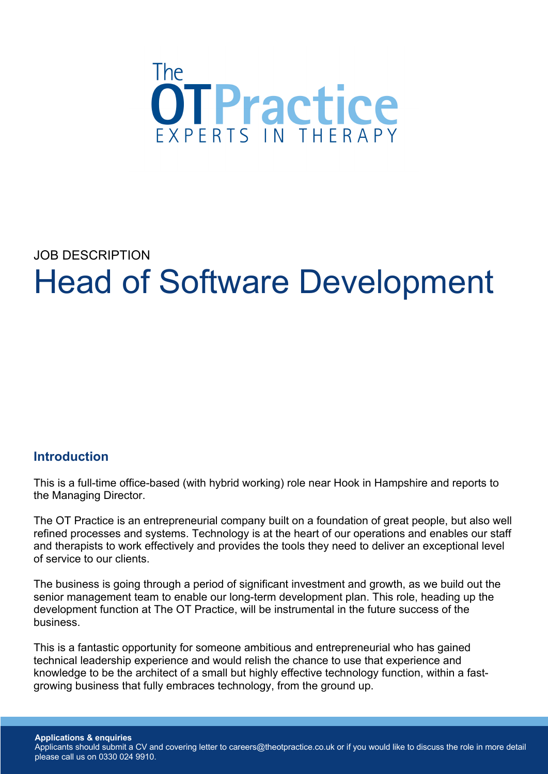

# JOB DESCRIPTION Head of Software Development

## **Introduction**

This is a full-time office-based (with hybrid working) role near Hook in Hampshire and reports to the Managing Director.

The OT Practice is an entrepreneurial company built on a foundation of great people, but also well refined processes and systems. Technology is at the heart of our operations and enables our staff and therapists to work effectively and provides the tools they need to deliver an exceptional level of service to our clients.

The business is going through a period of significant investment and growth, as we build out the senior management team to enable our long-term development plan. This role, heading up the development function at The OT Practice, will be instrumental in the future success of the business.

This is a fantastic opportunity for someone ambitious and entrepreneurial who has gained technical leadership experience and would relish the chance to use that experience and knowledge to be the architect of a small but highly effective technology function, within a fastgrowing business that fully embraces technology, from the ground up.

**Applications & enquiries** Applicants should submit a CV and covering letter to careers@theotpractice.co.uk or if you would like to discuss the role in more detail please call us on 0330 024 9910.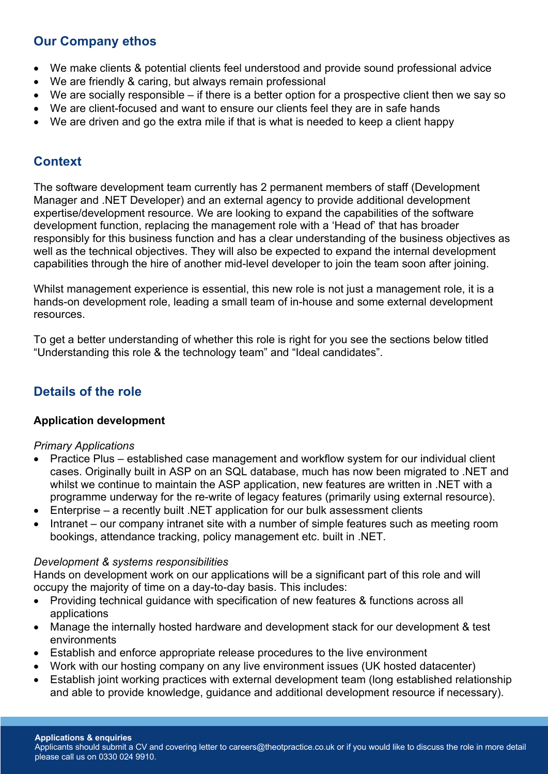## **Our Company ethos**

- We make clients & potential clients feel understood and provide sound professional advice
- We are friendly & caring, but always remain professional
- We are socially responsible if there is a better option for a prospective client then we say so
- We are client-focused and want to ensure our clients feel they are in safe hands
- We are driven and go the extra mile if that is what is needed to keep a client happy

## **Context**

The software development team currently has 2 permanent members of staff (Development Manager and .NET Developer) and an external agency to provide additional development expertise/development resource. We are looking to expand the capabilities of the software development function, replacing the management role with a 'Head of' that has broader responsibly for this business function and has a clear understanding of the business objectives as well as the technical objectives. They will also be expected to expand the internal development capabilities through the hire of another mid-level developer to join the team soon after joining.

Whilst management experience is essential, this new role is not just a management role, it is a hands-on development role, leading a small team of in-house and some external development resources.

To get a better understanding of whether this role is right for you see the sections below titled "Understanding this role & the technology team" and "Ideal candidates".

# **Details of the role**

## **Application development**

## *Primary Applications*

- Practice Plus established case management and workflow system for our individual client cases. Originally built in ASP on an SQL database, much has now been migrated to .NET and whilst we continue to maintain the ASP application, new features are written in .NET with a programme underway for the re-write of legacy features (primarily using external resource).
- Enterprise a recently built .NET application for our bulk assessment clients
- Intranet our company intranet site with a number of simple features such as meeting room bookings, attendance tracking, policy management etc. built in .NET.

#### *Development & systems responsibilities*

Hands on development work on our applications will be a significant part of this role and will occupy the majority of time on a day-to-day basis. This includes:

- Providing technical guidance with specification of new features & functions across all applications
- Manage the internally hosted hardware and development stack for our development & test environments
- Establish and enforce appropriate release procedures to the live environment
- Work with our hosting company on any live environment issues (UK hosted datacenter)
- Establish joint working practices with external development team (long established relationship and able to provide knowledge, guidance and additional development resource if necessary).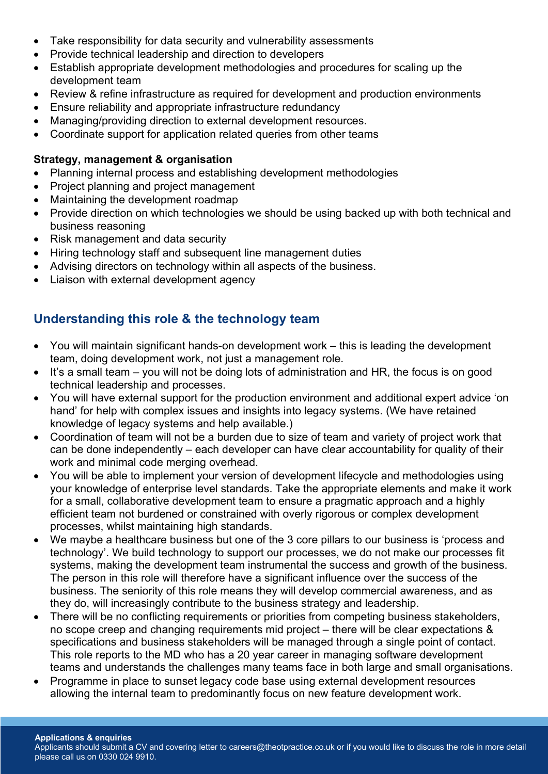- Take responsibility for data security and vulnerability assessments
- Provide technical leadership and direction to developers
- Establish appropriate development methodologies and procedures for scaling up the development team
- Review & refine infrastructure as required for development and production environments
- Ensure reliability and appropriate infrastructure redundancy
- Managing/providing direction to external development resources.
- Coordinate support for application related queries from other teams

### **Strategy, management & organisation**

- Planning internal process and establishing development methodologies
- Project planning and project management
- Maintaining the development roadmap
- Provide direction on which technologies we should be using backed up with both technical and business reasoning
- Risk management and data security
- Hiring technology staff and subsequent line management duties
- Advising directors on technology within all aspects of the business.
- Liaison with external development agency

# **Understanding this role & the technology team**

- You will maintain significant hands-on development work this is leading the development team, doing development work, not just a management role.
- It's a small team you will not be doing lots of administration and HR, the focus is on good technical leadership and processes.
- You will have external support for the production environment and additional expert advice 'on hand' for help with complex issues and insights into legacy systems. (We have retained knowledge of legacy systems and help available.)
- Coordination of team will not be a burden due to size of team and variety of project work that can be done independently – each developer can have clear accountability for quality of their work and minimal code merging overhead.
- You will be able to implement your version of development lifecycle and methodologies using your knowledge of enterprise level standards. Take the appropriate elements and make it work for a small, collaborative development team to ensure a pragmatic approach and a highly efficient team not burdened or constrained with overly rigorous or complex development processes, whilst maintaining high standards.
- We maybe a healthcare business but one of the 3 core pillars to our business is 'process and technology'. We build technology to support our processes, we do not make our processes fit systems, making the development team instrumental the success and growth of the business. The person in this role will therefore have a significant influence over the success of the business. The seniority of this role means they will develop commercial awareness, and as they do, will increasingly contribute to the business strategy and leadership.
- There will be no conflicting requirements or priorities from competing business stakeholders, no scope creep and changing requirements mid project – there will be clear expectations & specifications and business stakeholders will be managed through a single point of contact. This role reports to the MD who has a 20 year career in managing software development teams and understands the challenges many teams face in both large and small organisations.
- Programme in place to sunset legacy code base using external development resources allowing the internal team to predominantly focus on new feature development work.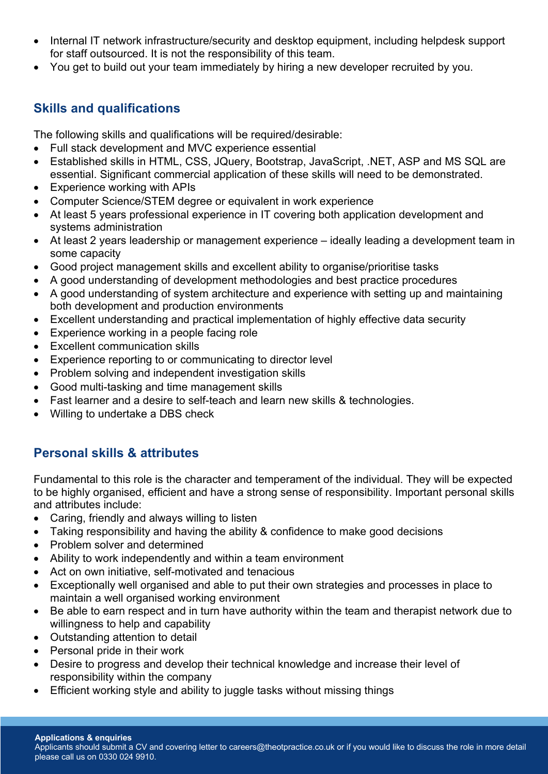- Internal IT network infrastructure/security and desktop equipment, including helpdesk support for staff outsourced. It is not the responsibility of this team.
- You get to build out your team immediately by hiring a new developer recruited by you.

# **Skills and qualifications**

The following skills and qualifications will be required/desirable:

- Full stack development and MVC experience essential
- Established skills in HTML, CSS, JQuery, Bootstrap, JavaScript, .NET, ASP and MS SQL are essential. Significant commercial application of these skills will need to be demonstrated.
- Experience working with APIs
- Computer Science/STEM degree or equivalent in work experience
- At least 5 years professional experience in IT covering both application development and systems administration
- At least 2 years leadership or management experience ideally leading a development team in some capacity
- Good project management skills and excellent ability to organise/prioritise tasks
- A good understanding of development methodologies and best practice procedures
- A good understanding of system architecture and experience with setting up and maintaining both development and production environments
- Excellent understanding and practical implementation of highly effective data security
- Experience working in a people facing role
- **Excellent communication skills**
- Experience reporting to or communicating to director level
- Problem solving and independent investigation skills
- Good multi-tasking and time management skills
- Fast learner and a desire to self-teach and learn new skills & technologies.
- Willing to undertake a DBS check

# **Personal skills & attributes**

Fundamental to this role is the character and temperament of the individual. They will be expected to be highly organised, efficient and have a strong sense of responsibility. Important personal skills and attributes include:

- Caring, friendly and always willing to listen
- Taking responsibility and having the ability & confidence to make good decisions
- Problem solver and determined
- Ability to work independently and within a team environment
- Act on own initiative, self-motivated and tenacious
- Exceptionally well organised and able to put their own strategies and processes in place to maintain a well organised working environment
- Be able to earn respect and in turn have authority within the team and therapist network due to willingness to help and capability
- Outstanding attention to detail
- Personal pride in their work
- Desire to progress and develop their technical knowledge and increase their level of responsibility within the company
- Efficient working style and ability to juggle tasks without missing things